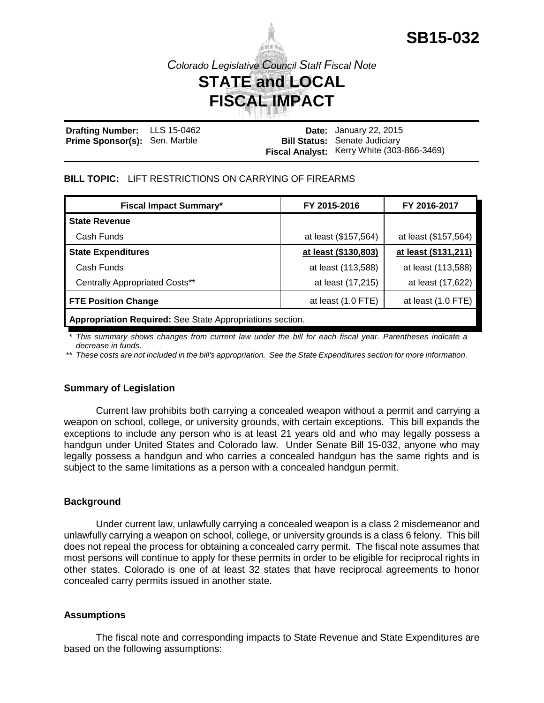

# **FISCAL IMPACT**

**Drafting Number: Prime Sponsor(s):** Sen. Marble LLS 15-0462 **Date:** January 22, 2015 **Bill Status:** Senate Judiciary **Fiscal Analyst:** Kerry White (303-866-3469)

### **BILL TOPIC:** LIFT RESTRICTIONS ON CARRYING OF FIREARMS

| <b>Fiscal Impact Summary*</b>                             | FY 2015-2016         | FY 2016-2017         |  |
|-----------------------------------------------------------|----------------------|----------------------|--|
| <b>State Revenue</b>                                      |                      |                      |  |
| Cash Funds                                                | at least (\$157,564) | at least (\$157,564) |  |
| <b>State Expenditures</b>                                 | at least (\$130,803) | at least (\$131,211) |  |
| Cash Funds                                                | at least (113,588)   | at least (113,588)   |  |
| Centrally Appropriated Costs**                            | at least (17,215)    | at least (17,622)    |  |
| <b>FTE Position Change</b>                                | at least (1.0 FTE)   | at least (1.0 FTE)   |  |
| Appropriation Required: See State Appropriations section. |                      |                      |  |

*\* This summary shows changes from current law under the bill for each fiscal year. Parentheses indicate a decrease in funds.*

*\*\* These costs are not included in the bill's appropriation. See the State Expenditures section for more information.*

### **Summary of Legislation**

Current law prohibits both carrying a concealed weapon without a permit and carrying a weapon on school, college, or university grounds, with certain exceptions. This bill expands the exceptions to include any person who is at least 21 years old and who may legally possess a handgun under United States and Colorado law. Under Senate Bill 15-032, anyone who may legally possess a handgun and who carries a concealed handgun has the same rights and is subject to the same limitations as a person with a concealed handgun permit.

#### **Background**

Under current law, unlawfully carrying a concealed weapon is a class 2 misdemeanor and unlawfully carrying a weapon on school, college, or university grounds is a class 6 felony. This bill does not repeal the process for obtaining a concealed carry permit. The fiscal note assumes that most persons will continue to apply for these permits in order to be eligible for reciprocal rights in other states. Colorado is one of at least 32 states that have reciprocal agreements to honor concealed carry permits issued in another state.

#### **Assumptions**

The fiscal note and corresponding impacts to State Revenue and State Expenditures are based on the following assumptions: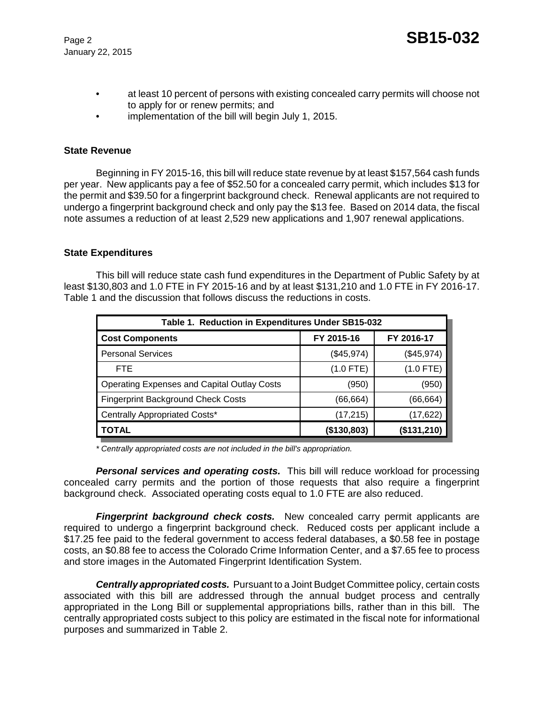- at least 10 percent of persons with existing concealed carry permits will choose not to apply for or renew permits; and
- implementation of the bill will begin July 1, 2015.

### **State Revenue**

Beginning in FY 2015-16, this bill will reduce state revenue by at least \$157,564 cash funds per year. New applicants pay a fee of \$52.50 for a concealed carry permit, which includes \$13 for the permit and \$39.50 for a fingerprint background check. Renewal applicants are not required to undergo a fingerprint background check and only pay the \$13 fee. Based on 2014 data, the fiscal note assumes a reduction of at least 2,529 new applications and 1,907 renewal applications.

### **State Expenditures**

This bill will reduce state cash fund expenditures in the Department of Public Safety by at least \$130,803 and 1.0 FTE in FY 2015-16 and by at least \$131,210 and 1.0 FTE in FY 2016-17. Table 1 and the discussion that follows discuss the reductions in costs.

| Table 1. Reduction in Expenditures Under SB15-032  |             |             |  |  |
|----------------------------------------------------|-------------|-------------|--|--|
| <b>Cost Components</b>                             | FY 2015-16  | FY 2016-17  |  |  |
| <b>Personal Services</b>                           | (\$45,974)  | (\$45,974)  |  |  |
| <b>FTE</b>                                         | $(1.0$ FTE) | $(1.0$ FTE) |  |  |
| <b>Operating Expenses and Capital Outlay Costs</b> | (950)       | (950)       |  |  |
| <b>Fingerprint Background Check Costs</b>          | (66, 664)   | (66,664)    |  |  |
| Centrally Appropriated Costs*                      | (17, 215)   | (17,622)    |  |  |
| <b>TOTAL</b>                                       | (\$130,803) | (\$131,210) |  |  |

*\* Centrally appropriated costs are not included in the bill's appropriation.*

*Personal services and operating costs.* This bill will reduce workload for processing concealed carry permits and the portion of those requests that also require a fingerprint background check. Associated operating costs equal to 1.0 FTE are also reduced.

**Fingerprint background check costs.** New concealed carry permit applicants are required to undergo a fingerprint background check. Reduced costs per applicant include a \$17.25 fee paid to the federal government to access federal databases, a \$0.58 fee in postage costs, an \$0.88 fee to access the Colorado Crime Information Center, and a \$7.65 fee to process and store images in the Automated Fingerprint Identification System.

*Centrally appropriated costs.* Pursuant to a Joint Budget Committee policy, certain costs associated with this bill are addressed through the annual budget process and centrally appropriated in the Long Bill or supplemental appropriations bills, rather than in this bill. The centrally appropriated costs subject to this policy are estimated in the fiscal note for informational purposes and summarized in Table 2.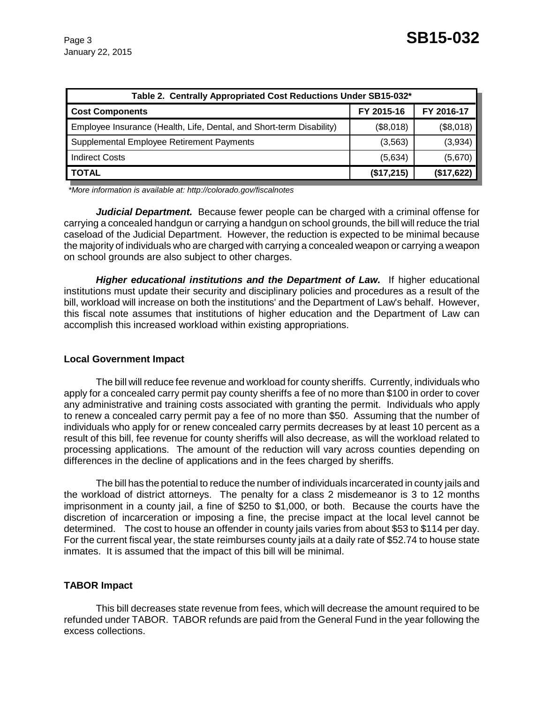| Table 2. Centrally Appropriated Cost Reductions Under SB15-032*      |            |            |  |  |  |
|----------------------------------------------------------------------|------------|------------|--|--|--|
| <b>Cost Components</b>                                               | FY 2015-16 | FY 2016-17 |  |  |  |
| Employee Insurance (Health, Life, Dental, and Short-term Disability) | (\$8,018)  | (\$8,018)  |  |  |  |
| Supplemental Employee Retirement Payments                            | (3, 563)   | (3,934)    |  |  |  |
| <b>Indirect Costs</b>                                                | (5,634)    | (5,670)    |  |  |  |
| <b>TOTAL</b>                                                         | (\$17,215) | (\$17,622) |  |  |  |

 *\*More information is available at: http://colorado.gov/fiscalnotes*

*Judicial Department.* Because fewer people can be charged with a criminal offense for carrying a concealed handgun or carrying a handgun on school grounds, the bill will reduce the trial caseload of the Judicial Department. However, the reduction is expected to be minimal because the majority of individuals who are charged with carrying a concealed weapon or carrying a weapon on school grounds are also subject to other charges.

*Higher educational institutions and the Department of Law.* If higher educational institutions must update their security and disciplinary policies and procedures as a result of the bill, workload will increase on both the institutions' and the Department of Law's behalf. However, this fiscal note assumes that institutions of higher education and the Department of Law can accomplish this increased workload within existing appropriations.

### **Local Government Impact**

The bill will reduce fee revenue and workload for county sheriffs. Currently, individuals who apply for a concealed carry permit pay county sheriffs a fee of no more than \$100 in order to cover any administrative and training costs associated with granting the permit. Individuals who apply to renew a concealed carry permit pay a fee of no more than \$50. Assuming that the number of individuals who apply for or renew concealed carry permits decreases by at least 10 percent as a result of this bill, fee revenue for county sheriffs will also decrease, as will the workload related to processing applications. The amount of the reduction will vary across counties depending on differences in the decline of applications and in the fees charged by sheriffs.

The bill has the potential to reduce the number of individuals incarcerated in county jails and the workload of district attorneys. The penalty for a class 2 misdemeanor is 3 to 12 months imprisonment in a county jail, a fine of \$250 to \$1,000, or both. Because the courts have the discretion of incarceration or imposing a fine, the precise impact at the local level cannot be determined. The cost to house an offender in county jails varies from about \$53 to \$114 per day. For the current fiscal year, the state reimburses county jails at a daily rate of \$52.74 to house state inmates. It is assumed that the impact of this bill will be minimal.

## **TABOR Impact**

This bill decreases state revenue from fees, which will decrease the amount required to be refunded under TABOR. TABOR refunds are paid from the General Fund in the year following the excess collections.